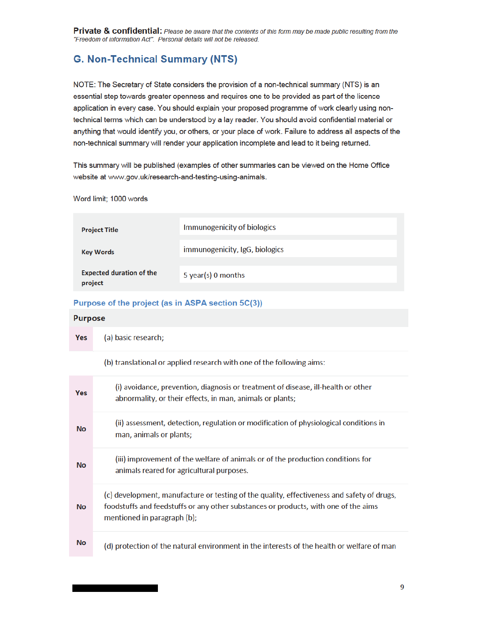# **G. Non-Technical Summary (NTS)**

NOTE: The Secretary of State considers the provision of a non-technical summary (NTS) is an essential step towards greater openness and requires one to be provided as part of the licence application in every case. You should explain your proposed programme of work clearly using nontechnical terms which can be understood by a lay reader. You should avoid confidential material or anything that would identify you, or others, or your place of work. Failure to address all aspects of the non-technical summary will render your application incomplete and lead to it being returned.

This summary will be published (examples of other summaries can be viewed on the Home Office website at www.gov.uk/research-and-testing-using-animals.

Word limit; 1000 words

| <b>Project Title</b>                       | Immunogenicity of biologics    |
|--------------------------------------------|--------------------------------|
| <b>Key Words</b>                           | immunogenicity, IgG, biologics |
| <b>Expected duration of the</b><br>project | 5 year(s) 0 months             |

### Purpose of the project (as in ASPA section 5C(3))

#### **Purpose**

| Yes | (a) basic research;                                                   |
|-----|-----------------------------------------------------------------------|
|     | (b) translational or applied research with one of the following aims: |

| <b>Yes</b> | (i) avoidance, prevention, diagnosis or treatment of disease, ill-health or other<br>abnormality, or their effects, in man, animals or plants;                                                                   |
|------------|------------------------------------------------------------------------------------------------------------------------------------------------------------------------------------------------------------------|
| <b>No</b>  | (ii) assessment, detection, regulation or modification of physiological conditions in<br>man, animals or plants;                                                                                                 |
| <b>No</b>  | (iii) improvement of the welfare of animals or of the production conditions for<br>animals reared for agricultural purposes.                                                                                     |
| <b>No</b>  | (c) development, manufacture or testing of the quality, effectiveness and safety of drugs,<br>foodstuffs and feedstuffs or any other substances or products, with one of the aims<br>mentioned in paragraph (b); |
| <b>No</b>  | (d) protection of the natural environment in the interests of the health or welfare of man                                                                                                                       |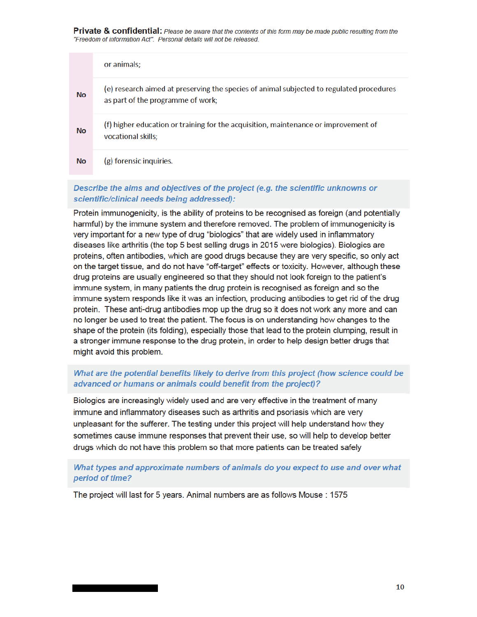|           | or animals;                                                                                                                   |
|-----------|-------------------------------------------------------------------------------------------------------------------------------|
| <b>No</b> | (e) research aimed at preserving the species of animal subjected to regulated procedures<br>as part of the programme of work; |
| <b>No</b> | (f) higher education or training for the acquisition, maintenance or improvement of<br>vocational skills;                     |
| <b>No</b> | (g) forensic inquiries.                                                                                                       |

# Describe the aims and objectives of the project (e.g. the scientific unknowns or scientific/clinical needs being addressed):

Protein immunogenicity, is the ability of proteins to be recognised as foreign (and potentially harmful) by the immune system and therefore removed. The problem of immunogenicity is very important for a new type of drug "biologics" that are widely used in inflammatory diseases like arthritis (the top 5 best selling drugs in 2015 were biologics). Biologics are proteins, often antibodies, which are good drugs because they are very specific, so only act on the target tissue, and do not have "off-target" effects or toxicity. However, although these drug proteins are usually engineered so that they should not look foreign to the patient's immune system, in many patients the drug protein is recognised as foreign and so the immune system responds like it was an infection, producing antibodies to get rid of the drug protein. These anti-drug antibodies mop up the drug so it does not work any more and can no longer be used to treat the patient. The focus is on understanding how changes to the shape of the protein (its folding), especially those that lead to the protein clumping, result in a stronger immune response to the drug protein, in order to help design better drugs that might avoid this problem.

# What are the potential benefits likely to derive from this project (how science could be advanced or humans or animals could benefit from the project)?

Biologics are increasingly widely used and are very effective in the treatment of many immune and inflammatory diseases such as arthritis and psoriasis which are very unpleasant for the sufferer. The testing under this project will help understand how they sometimes cause immune responses that prevent their use, so will help to develop better drugs which do not have this problem so that more patients can be treated safely

## What types and approximate numbers of animals do you expect to use and over what period of time?

The project will last for 5 years. Animal numbers are as follows Mouse : 1575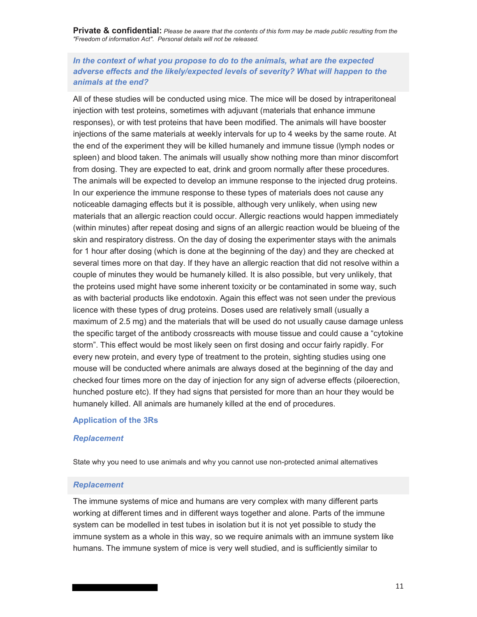# *In the context of what you propose to do to the animals, what are the expected adverse effects and the likely/expected levels of severity? What will happen to the animals at the end?*

All of these studies will be conducted using mice. The mice will be dosed by intraperitoneal injection with test proteins, sometimes with adjuvant (materials that enhance immune responses), or with test proteins that have been modified. The animals will have booster injections of the same materials at weekly intervals for up to 4 weeks by the same route. At the end of the experiment they will be killed humanely and immune tissue (lymph nodes or spleen) and blood taken. The animals will usually show nothing more than minor discomfort from dosing. They are expected to eat, drink and groom normally after these procedures. The animals will be expected to develop an immune response to the injected drug proteins. In our experience the immune response to these types of materials does not cause any noticeable damaging effects but it is possible, although very unlikely, when using new materials that an allergic reaction could occur. Allergic reactions would happen immediately (within minutes) after repeat dosing and signs of an allergic reaction would be blueing of the skin and respiratory distress. On the day of dosing the experimenter stays with the animals for 1 hour after dosing (which is done at the beginning of the day) and they are checked at several times more on that day. If they have an allergic reaction that did not resolve within a couple of minutes they would be humanely killed. It is also possible, but very unlikely, that the proteins used might have some inherent toxicity or be contaminated in some way, such as with bacterial products like endotoxin. Again this effect was not seen under the previous licence with these types of drug proteins. Doses used are relatively small (usually a maximum of 2.5 mg) and the materials that will be used do not usually cause damage unless the specific target of the antibody crossreacts with mouse tissue and could cause a "cytokine storm". This effect would be most likely seen on first dosing and occur fairly rapidly. For every new protein, and every type of treatment to the protein, sighting studies using one mouse will be conducted where animals are always dosed at the beginning of the day and checked four times more on the day of injection for any sign of adverse effects (piloerection, hunched posture etc). If they had signs that persisted for more than an hour they would be humanely killed. All animals are humanely killed at the end of procedures.

#### **Application of the 3Rs**

#### *Replacement*

State why you need to use animals and why you cannot use non-protected animal alternatives

#### *Replacement*

The immune systems of mice and humans are very complex with many different parts working at different times and in different ways together and alone. Parts of the immune system can be modelled in test tubes in isolation but it is not yet possible to study the immune system as a whole in this way, so we require animals with an immune system like humans. The immune system of mice is very well studied, and is sufficiently similar to